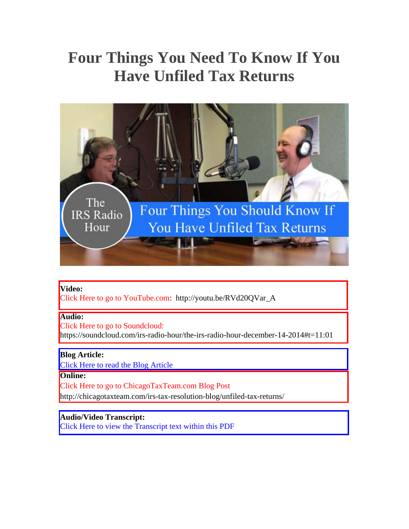# **Four Things You Need To Know If You Have Unfiled Tax Returns**



#### **Video:**

[Click Here to go to YouTube.com: http://youtu.be/RVd20QVar\\_A](http://youtu.be/RVd20QVar_A) 

## **Audio:**

Click Here to go to Soundcloud: <https://soundcloud.com/irs-radio-hour/the-irs-radio-hour-december-14-2014#t=11:01>

### **Blog Article:**

[Click Here to read the Blog Article](#page-1-0) 

#### **Online:**

Click Here to go to ChicagoTaxTeam.com Blog Post <http://chicagotaxteam.com/irs-tax-resolution-blog/unfiled-tax-returns/>

## **Audio/Video Transcript:**

[Click Here to view the Transcript text within this PDF](#page-3-0)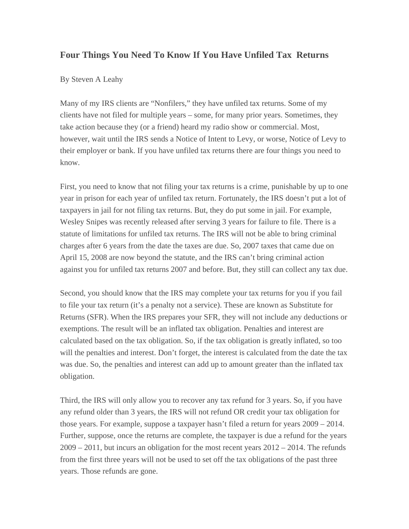## <span id="page-1-0"></span>**Four Things You Need To Know If You Have Unfiled Tax Returns**

### By Steven A Leahy

Many of my IRS clients are "Nonfilers," they have unfiled tax returns. Some of my clients have not filed for multiple years – some, for many prior years. Sometimes, they take action because they (or a friend) heard my radio show or commercial. Most, however, wait until the IRS sends a Notice of Intent to Levy, or worse, Notice of Levy to their employer or bank. If you have unfiled tax returns there are four things you need to know.

First, you need to know that not filing your tax returns is a crime, punishable by up to one year in prison for each year of unfiled tax return. Fortunately, the IRS doesn't put a lot of taxpayers in jail for not filing tax returns. But, they do put some in jail. For example, Wesley Snipes was recently released after serving 3 years for failure to file. There is a statute of limitations for unfiled tax returns. The IRS will not be able to bring criminal charges after 6 years from the date the taxes are due. So, 2007 taxes that came due on April 15, 2008 are now beyond the statute, and the IRS can't bring criminal action against you for unfiled tax returns 2007 and before. But, they still can collect any tax due.

Second, you should know that the IRS may complete your tax returns for you if you fail to file your tax return (it's a penalty not a service). These are known as Substitute for Returns (SFR). When the IRS prepares your SFR, they will not include any deductions or exemptions. The result will be an inflated tax obligation. Penalties and interest are calculated based on the tax obligation. So, if the tax obligation is greatly inflated, so too will the penalties and interest. Don't forget, the interest is calculated from the date the tax was due. So, the penalties and interest can add up to amount greater than the inflated tax obligation.

Third, the IRS will only allow you to recover any tax refund for 3 years. So, if you have any refund older than 3 years, the IRS will not refund OR credit your tax obligation for those years. For example, suppose a taxpayer hasn't filed a return for years 2009 – 2014. Further, suppose, once the returns are complete, the taxpayer is due a refund for the years  $2009 - 2011$ , but incurs an obligation for the most recent years  $2012 - 2014$ . The refunds from the first three years will not be used to set off the tax obligations of the past three years. Those refunds are gone.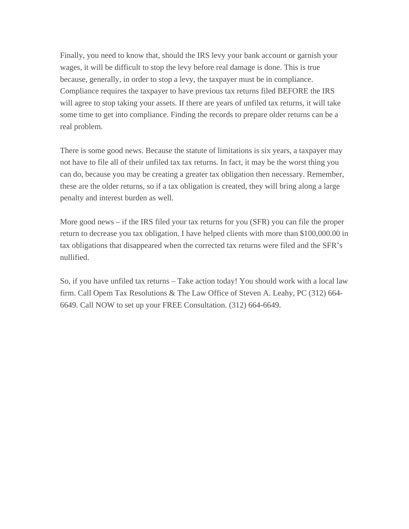Finally, you need to know that, should the IRS levy your bank account or garnish your wages, it will be difficult to stop the levy before real damage is done. This is true because, generally, in order to stop a levy, the taxpayer must be in compliance. Compliance requires the taxpayer to have previous tax returns filed BEFORE the IRS will agree to stop taking your assets. If there are years of unfiled tax returns, it will take some time to get into compliance. Finding the records to prepare older returns can be a real problem.

There is some good news. Because the statute of limitations is six years, a taxpayer may not have to file all of their unfiled tax tax returns. In fact, it may be the worst thing you can do, because you may be creating a greater tax obligation then necessary. Remember, these are the older returns, so if a tax obligation is created, they will bring along a large penalty and interest burden as well.

More good news – if the IRS filed your tax returns for you (SFR) you can file the proper return to decrease you tax obligation. I have helped clients with more than \$100,000.00 in tax obligations that disappeared when the corrected tax returns were filed and the SFR's nullified.

So, if you have unfiled tax returns – Take action today! You should work with a local law firm. Call Opem Tax Resolutions & The Law Office of Steven A. Leahy, PC (312) 664- 6649. Call NOW to set up your FREE Consultation. (312) 664-6649.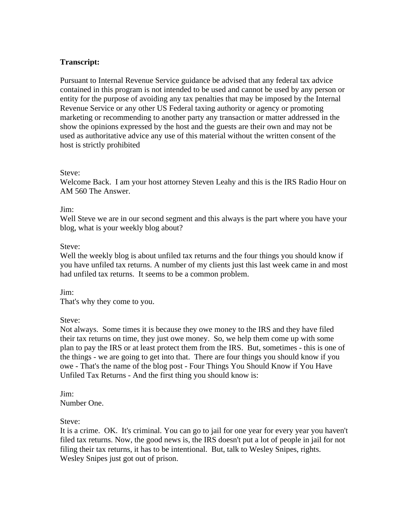## <span id="page-3-0"></span>**Transcript:**

Pursuant to Internal Revenue Service guidance be advised that any federal tax advice contained in this program is not intended to be used and cannot be used by any person or entity for the purpose of avoiding any tax penalties that may be imposed by the Internal Revenue Service or any other US Federal taxing authority or agency or promoting marketing or recommending to another party any transaction or matter addressed in the show the opinions expressed by the host and the guests are their own and may not be used as authoritative advice any use of this material without the written consent of the host is strictly prohibited

#### Steve:

Welcome Back. I am your host attorney Steven Leahy and this is the IRS Radio Hour on AM 560 The Answer.

#### Jim:

Well Steve we are in our second segment and this always is the part where you have your blog, what is your weekly blog about?

#### Steve:

Well the weekly blog is about unfiled tax returns and the four things you should know if you have unfiled tax returns. A number of my clients just this last week came in and most had unfiled tax returns. It seems to be a common problem.

Jim:

That's why they come to you.

Steve:

Not always. Some times it is because they owe money to the IRS and they have filed their tax returns on time, they just owe money. So, we help them come up with some plan to pay the IRS or at least protect them from the IRS. But, sometimes - this is one of the things - we are going to get into that. There are four things you should know if you owe - That's the name of the blog post - Four Things You Should Know if You Have Unfiled Tax Returns - And the first thing you should know is:

Jim: Number One.

Steve:

It is a crime. OK. It's criminal. You can go to jail for one year for every year you haven't filed tax returns. Now, the good news is, the IRS doesn't put a lot of people in jail for not filing their tax returns, it has to be intentional. But, talk to Wesley Snipes, rights. Wesley Snipes just got out of prison.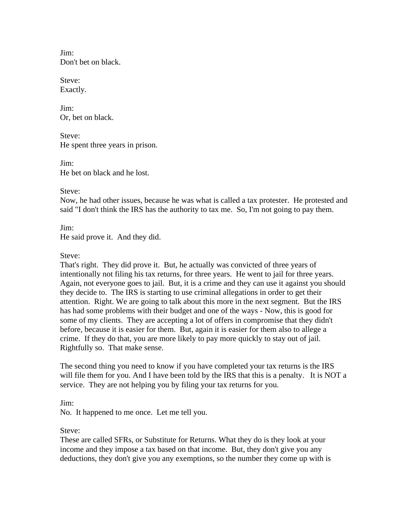Jim: Don't bet on black.

Steve: Exactly.

Jim: Or, bet on black.

Steve: He spent three years in prison.

Jim: He bet on black and he lost.

Steve:

Now, he had other issues, because he was what is called a tax protester. He protested and said "I don't think the IRS has the authority to tax me. So, I'm not going to pay them.

Jim:

He said prove it. And they did.

## Steve:

That's right. They did prove it. But, he actually was convicted of three years of intentionally not filing his tax returns, for three years. He went to jail for three years. Again, not everyone goes to jail. But, it is a crime and they can use it against you should they decide to. The IRS is starting to use criminal allegations in order to get their attention. Right. We are going to talk about this more in the next segment. But the IRS has had some problems with their budget and one of the ways - Now, this is good for some of my clients. They are accepting a lot of offers in compromise that they didn't before, because it is easier for them. But, again it is easier for them also to allege a crime. If they do that, you are more likely to pay more quickly to stay out of jail. Rightfully so. That make sense.

The second thing you need to know if you have completed your tax returns is the IRS will file them for you. And I have been told by the IRS that this is a penalty. It is NOT a service. They are not helping you by filing your tax returns for you.

Jim:

No. It happened to me once. Let me tell you.

## Steve:

These are called SFRs, or Substitute for Returns. What they do is they look at your income and they impose a tax based on that income. But, they don't give you any deductions, they don't give you any exemptions, so the number they come up with is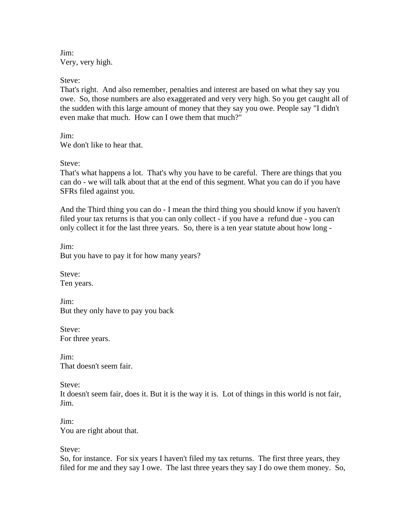Jim: Very, very high.

Steve:

That's right. And also remember, penalties and interest are based on what they say you owe. So, those numbers are also exaggerated and very very high. So you get caught all of the sudden with this large amount of money that they say you owe. People say "I didn't even make that much. How can I owe them that much?"

Jim: We don't like to hear that.

Steve:

That's what happens a lot. That's why you have to be careful. There are things that you can do - we will talk about that at the end of this segment. What you can do if you have SFRs filed against you.

And the Third thing you can do - I mean the third thing you should know if you haven't filed your tax returns is that you can only collect - if you have a refund due - you can only collect it for the last three years. So, there is a ten year statute about how long -

Jim: But you have to pay it for how many years?

Steve: Ten years.

Jim: But they only have to pay you back

Steve: For three years.

Jim: That doesn't seem fair.

Steve:

It doesn't seem fair, does it. But it is the way it is. Lot of things in this world is not fair, Jim.

Jim: You are right about that.

Steve:

So, for instance. For six years I haven't filed my tax returns. The first three years, they filed for me and they say I owe. The last three years they say I do owe them money. So,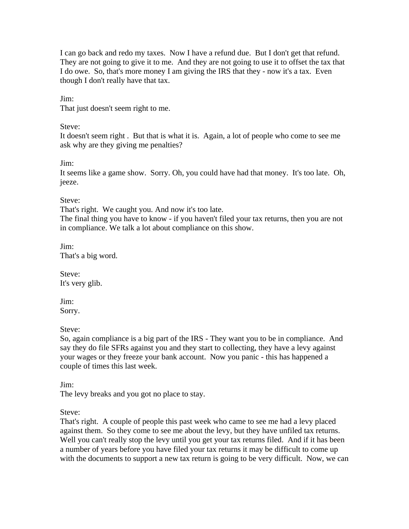I can go back and redo my taxes. Now I have a refund due. But I don't get that refund. They are not going to give it to me. And they are not going to use it to offset the tax that I do owe. So, that's more money I am giving the IRS that they - now it's a tax. Even though I don't really have that tax.

Jim:

That just doesn't seem right to me.

Steve:

It doesn't seem right . But that is what it is. Again, a lot of people who come to see me ask why are they giving me penalties?

Jim:

It seems like a game show. Sorry. Oh, you could have had that money. It's too late. Oh, jeeze.

Steve:

That's right. We caught you. And now it's too late.

The final thing you have to know - if you haven't filed your tax returns, then you are not in compliance. We talk a lot about compliance on this show.

Jim: That's a big word.

Steve: It's very glib.

Jim: Sorry.

Steve:

So, again compliance is a big part of the IRS - They want you to be in compliance. And say they do file SFRs against you and they start to collecting, they have a levy against your wages or they freeze your bank account. Now you panic - this has happened a couple of times this last week.

Jim:

The levy breaks and you got no place to stay.

Steve:

That's right. A couple of people this past week who came to see me had a levy placed against them. So they come to see me about the levy, but they have unfiled tax returns. Well you can't really stop the levy until you get your tax returns filed. And if it has been a number of years before you have filed your tax returns it may be difficult to come up with the documents to support a new tax return is going to be very difficult. Now, we can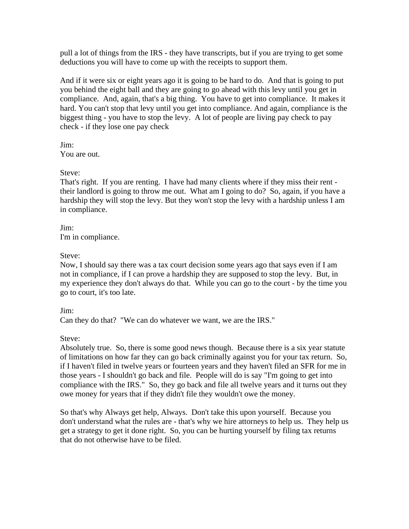pull a lot of things from the IRS - they have transcripts, but if you are trying to get some deductions you will have to come up with the receipts to support them.

And if it were six or eight years ago it is going to be hard to do. And that is going to put you behind the eight ball and they are going to go ahead with this levy until you get in compliance. And, again, that's a big thing. You have to get into compliance. It makes it hard. You can't stop that levy until you get into compliance. And again, compliance is the biggest thing - you have to stop the levy. A lot of people are living pay check to pay check - if they lose one pay check

Jim: You are out.

### Steve:

That's right. If you are renting. I have had many clients where if they miss their rent their landlord is going to throw me out. What am I going to do? So, again, if you have a hardship they will stop the levy. But they won't stop the levy with a hardship unless I am in compliance.

Jim: I'm in compliance.

## Steve:

Now, I should say there was a tax court decision some years ago that says even if I am not in compliance, if I can prove a hardship they are supposed to stop the levy. But, in my experience they don't always do that. While you can go to the court - by the time you go to court, it's too late.

### Jim:

Can they do that? "We can do whatever we want, we are the IRS."

### Steve:

Absolutely true. So, there is some good news though. Because there is a six year statute of limitations on how far they can go back criminally against you for your tax return. So, if I haven't filed in twelve years or fourteen years and they haven't filed an SFR for me in those years - I shouldn't go back and file. People will do is say "I'm going to get into compliance with the IRS." So, they go back and file all twelve years and it turns out they owe money for years that if they didn't file they wouldn't owe the money.

So that's why Always get help, Always. Don't take this upon yourself. Because you don't understand what the rules are - that's why we hire attorneys to help us. They help us get a strategy to get it done right. So, you can be hurting yourself by filing tax returns that do not otherwise have to be filed.